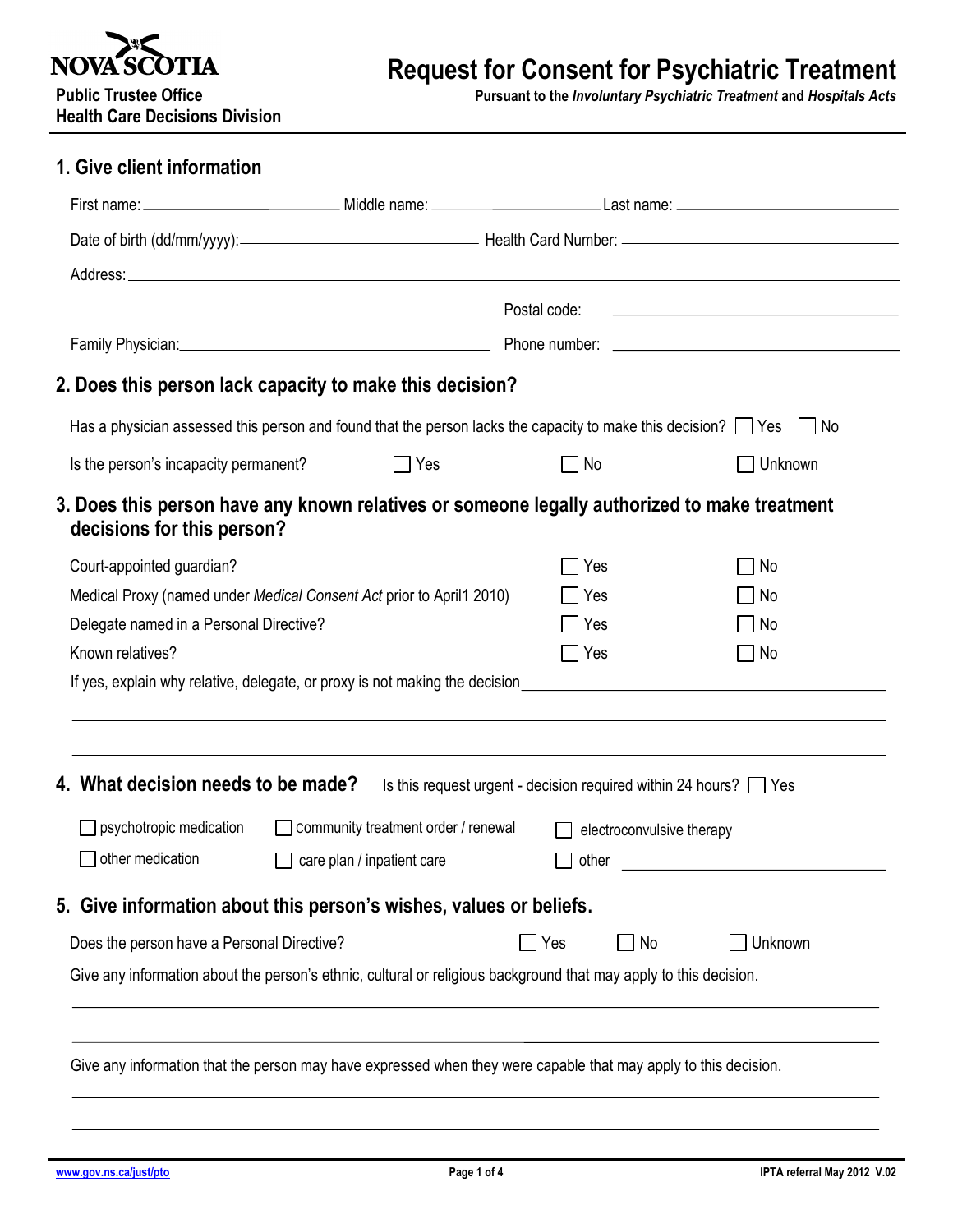

# **Request for Consent for Psychiatric Treatment**

**Public Trustee Office Pursuant to the** *Involuntary Psychiatric Treatment* **and** *Hospitals Acts*

|  | <b>Health Care Decisions Division</b> |  |
|--|---------------------------------------|--|
|  |                                       |  |

### **1. Give client information**

|                                                     | Postal code:              | the contract of the contract of the contract of the contract of the contract of                                                                                                                                                                                                                                                                                                                                                                                                                                                                                                                                                                                                                                                                                                                                                           |  |  |
|-----------------------------------------------------|---------------------------|-------------------------------------------------------------------------------------------------------------------------------------------------------------------------------------------------------------------------------------------------------------------------------------------------------------------------------------------------------------------------------------------------------------------------------------------------------------------------------------------------------------------------------------------------------------------------------------------------------------------------------------------------------------------------------------------------------------------------------------------------------------------------------------------------------------------------------------------|--|--|
|                                                     |                           |                                                                                                                                                                                                                                                                                                                                                                                                                                                                                                                                                                                                                                                                                                                                                                                                                                           |  |  |
|                                                     |                           |                                                                                                                                                                                                                                                                                                                                                                                                                                                                                                                                                                                                                                                                                                                                                                                                                                           |  |  |
|                                                     |                           |                                                                                                                                                                                                                                                                                                                                                                                                                                                                                                                                                                                                                                                                                                                                                                                                                                           |  |  |
| $\Box$ Yes<br>Is the person's incapacity permanent? | No                        | Unknown                                                                                                                                                                                                                                                                                                                                                                                                                                                                                                                                                                                                                                                                                                                                                                                                                                   |  |  |
| decisions for this person?                          |                           |                                                                                                                                                                                                                                                                                                                                                                                                                                                                                                                                                                                                                                                                                                                                                                                                                                           |  |  |
|                                                     | Yes                       | No                                                                                                                                                                                                                                                                                                                                                                                                                                                                                                                                                                                                                                                                                                                                                                                                                                        |  |  |
|                                                     | Yes                       | No                                                                                                                                                                                                                                                                                                                                                                                                                                                                                                                                                                                                                                                                                                                                                                                                                                        |  |  |
| Delegate named in a Personal Directive?             | Yes                       | No                                                                                                                                                                                                                                                                                                                                                                                                                                                                                                                                                                                                                                                                                                                                                                                                                                        |  |  |
|                                                     | $\Box$ Yes                | No                                                                                                                                                                                                                                                                                                                                                                                                                                                                                                                                                                                                                                                                                                                                                                                                                                        |  |  |
|                                                     |                           |                                                                                                                                                                                                                                                                                                                                                                                                                                                                                                                                                                                                                                                                                                                                                                                                                                           |  |  |
| 4. What decision needs to be made?                  |                           |                                                                                                                                                                                                                                                                                                                                                                                                                                                                                                                                                                                                                                                                                                                                                                                                                                           |  |  |
|                                                     | electroconvulsive therapy |                                                                                                                                                                                                                                                                                                                                                                                                                                                                                                                                                                                                                                                                                                                                                                                                                                           |  |  |
| care plan / inpatient care                          | other                     | <u> The Communication of the Communication</u>                                                                                                                                                                                                                                                                                                                                                                                                                                                                                                                                                                                                                                                                                                                                                                                            |  |  |
|                                                     |                           |                                                                                                                                                                                                                                                                                                                                                                                                                                                                                                                                                                                                                                                                                                                                                                                                                                           |  |  |
| Does the person have a Personal Directive?          | Yes<br>$\Box$ No          | Unknown                                                                                                                                                                                                                                                                                                                                                                                                                                                                                                                                                                                                                                                                                                                                                                                                                                   |  |  |
|                                                     |                           |                                                                                                                                                                                                                                                                                                                                                                                                                                                                                                                                                                                                                                                                                                                                                                                                                                           |  |  |
|                                                     |                           | <u> 1989 - Andrea Station Barbara, amerikan personal (h. 1989).</u><br>Family Physician: <u>Contract Communication</u> Phone number: Communication Communication Communication Communication<br>2. Does this person lack capacity to make this decision?<br>Has a physician assessed this person and found that the person lacks the capacity to make this decision? $\Box$ Yes $\Box$ No<br>3. Does this person have any known relatives or someone legally authorized to make treatment<br>Medical Proxy (named under Medical Consent Act prior to April1 2010)<br>If yes, explain why relative, delegate, or proxy is not making the decision<br>Is this request urgent - decision required within 24 hours? $\Box$ Yes<br>□ community treatment order / renewal<br>5. Give information about this person's wishes, values or beliefs. |  |  |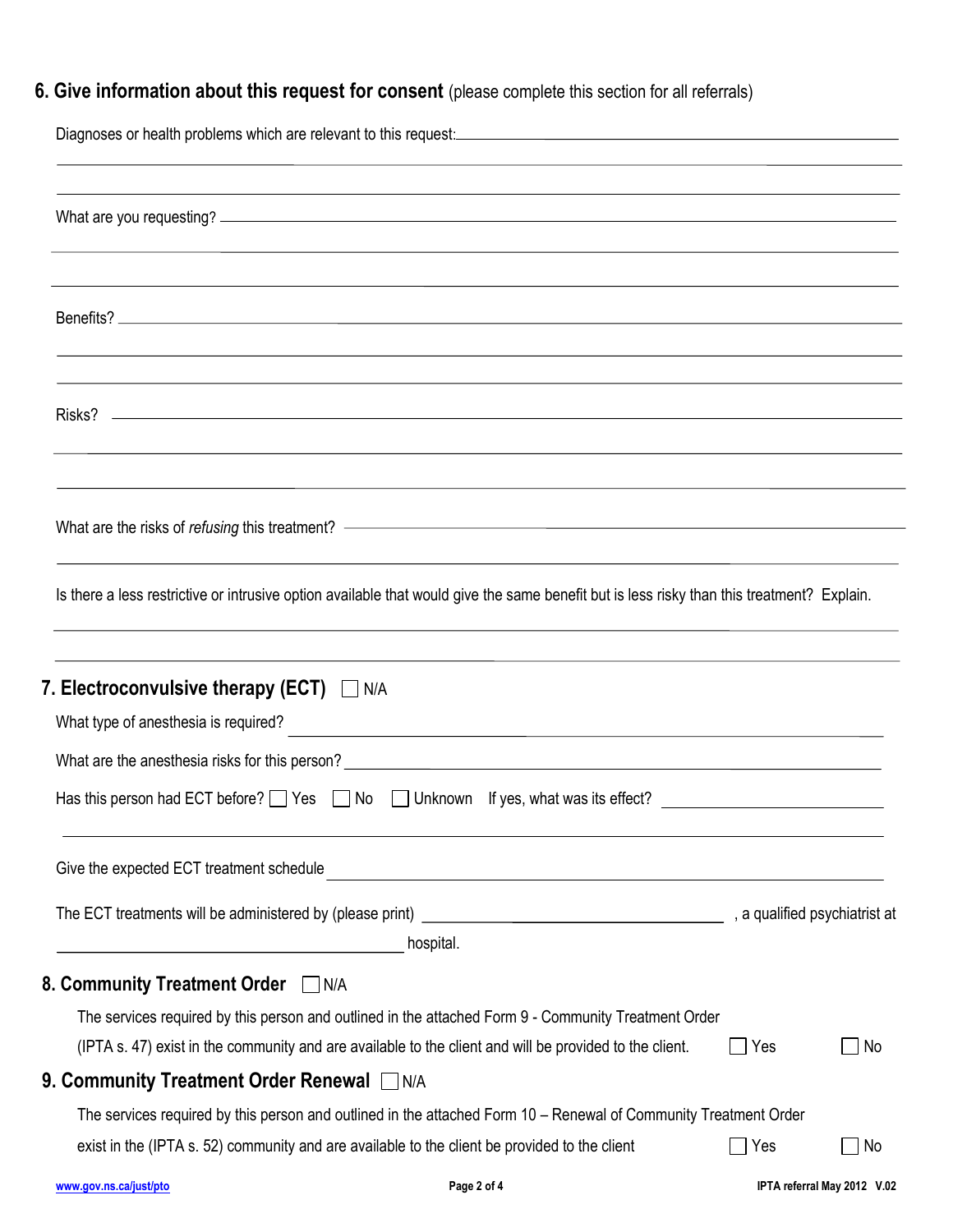## **6. Give information about this request for consent** (please complete this section for all referrals)

|                                                     | Diagnoses or health problems which are relevant to this request: <u>[</u> [11] Diagnoses or health problems which are relevant to this request:                                                                 |              |                             |
|-----------------------------------------------------|-----------------------------------------------------------------------------------------------------------------------------------------------------------------------------------------------------------------|--------------|-----------------------------|
|                                                     |                                                                                                                                                                                                                 |              |                             |
|                                                     |                                                                                                                                                                                                                 |              |                             |
|                                                     |                                                                                                                                                                                                                 |              |                             |
|                                                     | What are the risks of refusing this treatment? —————————————————————————————————                                                                                                                                |              |                             |
|                                                     | Is there a less restrictive or intrusive option available that would give the same benefit but is less risky than this treatment? Explain.                                                                      |              |                             |
| 7. Electroconvulsive therapy (ECT) $\Box$ N/A       |                                                                                                                                                                                                                 |              |                             |
|                                                     | Has this person had ECT before? $\Box$ Yes $\Box$ No $\Box$ Unknown If yes, what was its effect?                                                                                                                |              |                             |
| Give the expected ECT treatment schedule            |                                                                                                                                                                                                                 |              |                             |
| <u> 1989 - Johann Barbara, martxa eta politikar</u> | hospital.                                                                                                                                                                                                       |              |                             |
| 8. Community Treatment Order IN/A                   | The services required by this person and outlined in the attached Form 9 - Community Treatment Order<br>(IPTA s. 47) exist in the community and are available to the client and will be provided to the client. | Yes          | No                          |
| 9. Community Treatment Order Renewal □ N/A          | The services required by this person and outlined in the attached Form 10 – Renewal of Community Treatment Order                                                                                                |              |                             |
|                                                     | exist in the (IPTA s. 52) community and are available to the client be provided to the client                                                                                                                   | $\sqcap$ Yes | No.                         |
| www.gov.ns.ca/just/pto                              | Page 2 of 4                                                                                                                                                                                                     |              | IPTA referral May 2012 V.02 |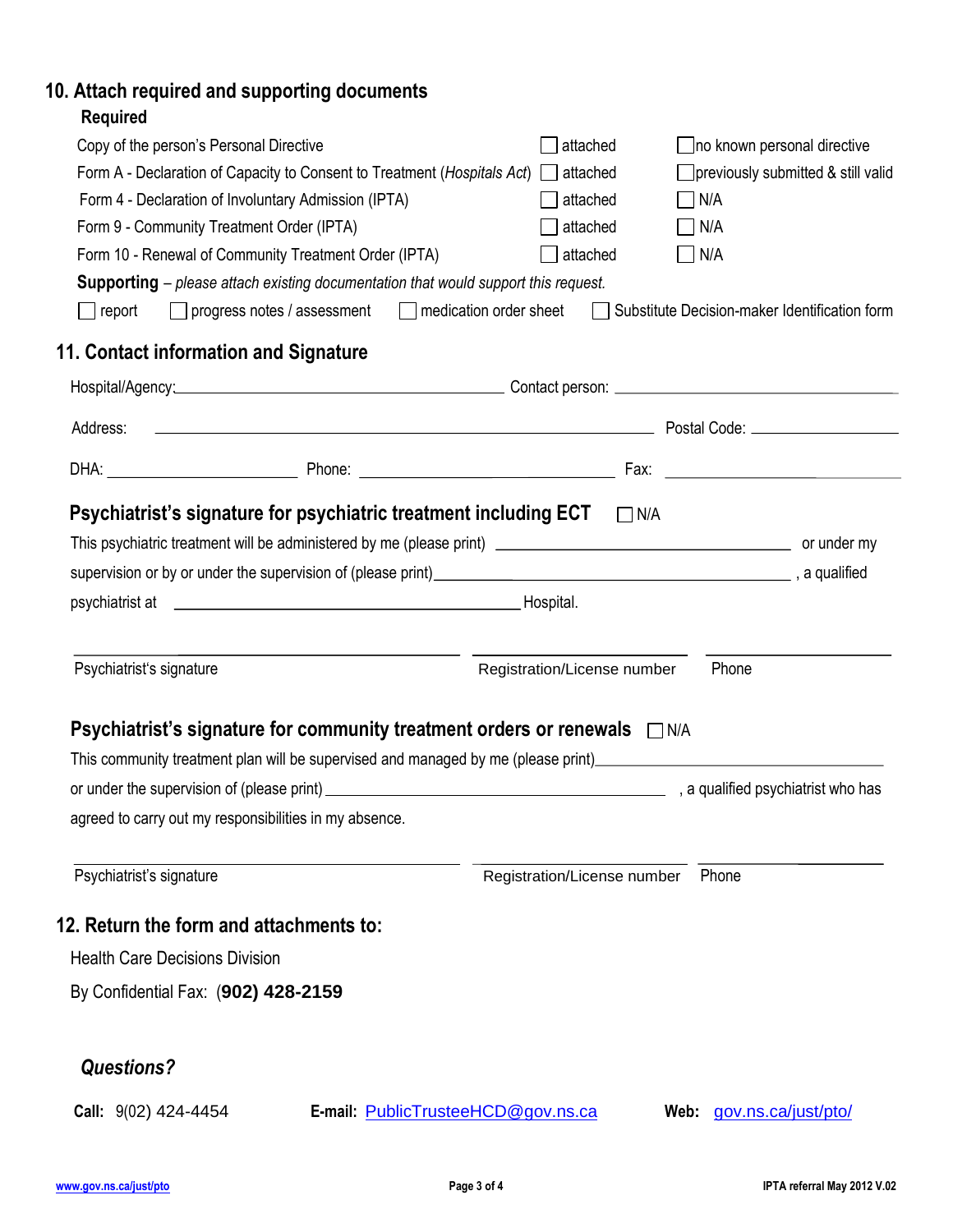## **10. Attach required and supporting documents**

| Copy of the person's Personal Directive                                                                                                                                                                                                                                             |                                                                                                                                                                                                                                      | attached                           |            |                          | no known personal directive                   |
|-------------------------------------------------------------------------------------------------------------------------------------------------------------------------------------------------------------------------------------------------------------------------------------|--------------------------------------------------------------------------------------------------------------------------------------------------------------------------------------------------------------------------------------|------------------------------------|------------|--------------------------|-----------------------------------------------|
| Form A - Declaration of Capacity to Consent to Treatment (Hospitals Act)<br>previously submitted & still valid<br>attached<br>Form 4 - Declaration of Involuntary Admission (IPTA)<br>attached<br>$\Box$ N/A<br>Form 9 - Community Treatment Order (IPTA)<br>attached<br>$\Box$ N/A |                                                                                                                                                                                                                                      |                                    |            |                          |                                               |
|                                                                                                                                                                                                                                                                                     |                                                                                                                                                                                                                                      |                                    |            |                          |                                               |
|                                                                                                                                                                                                                                                                                     |                                                                                                                                                                                                                                      |                                    |            |                          |                                               |
|                                                                                                                                                                                                                                                                                     | Form 10 - Renewal of Community Treatment Order (IPTA)                                                                                                                                                                                | attached                           |            | N/A                      |                                               |
|                                                                                                                                                                                                                                                                                     | <b>Supporting</b> – please attach existing documentation that would support this request.                                                                                                                                            |                                    |            |                          |                                               |
| $\Box$ report                                                                                                                                                                                                                                                                       | progress notes / assessment   medication order sheet                                                                                                                                                                                 |                                    |            |                          | Substitute Decision-maker Identification form |
| 11. Contact information and Signature                                                                                                                                                                                                                                               |                                                                                                                                                                                                                                      |                                    |            |                          |                                               |
|                                                                                                                                                                                                                                                                                     |                                                                                                                                                                                                                                      |                                    |            |                          |                                               |
| Address:                                                                                                                                                                                                                                                                            |                                                                                                                                                                                                                                      |                                    |            |                          |                                               |
|                                                                                                                                                                                                                                                                                     |                                                                                                                                                                                                                                      |                                    |            |                          |                                               |
|                                                                                                                                                                                                                                                                                     |                                                                                                                                                                                                                                      |                                    |            |                          |                                               |
|                                                                                                                                                                                                                                                                                     | Psychiatrist's signature for psychiatric treatment including ECT                                                                                                                                                                     |                                    | $\Box$ N/A |                          |                                               |
|                                                                                                                                                                                                                                                                                     |                                                                                                                                                                                                                                      |                                    |            |                          |                                               |
|                                                                                                                                                                                                                                                                                     | supervision or by or under the supervision of (please print)<br>supervision or by or under the supervision of (please print)<br>supervision or by or under the supervision of (please print)<br>supervision or by or under the super |                                    |            |                          |                                               |
|                                                                                                                                                                                                                                                                                     |                                                                                                                                                                                                                                      |                                    |            |                          |                                               |
|                                                                                                                                                                                                                                                                                     |                                                                                                                                                                                                                                      |                                    |            |                          |                                               |
|                                                                                                                                                                                                                                                                                     |                                                                                                                                                                                                                                      |                                    |            |                          |                                               |
| Psychiatrist's signature                                                                                                                                                                                                                                                            |                                                                                                                                                                                                                                      | Registration/License number        |            | Phone                    |                                               |
|                                                                                                                                                                                                                                                                                     |                                                                                                                                                                                                                                      |                                    |            |                          |                                               |
|                                                                                                                                                                                                                                                                                     | <b>Psychiatrist's signature for community treatment orders or renewals</b> □ N/A                                                                                                                                                     |                                    |            |                          |                                               |
|                                                                                                                                                                                                                                                                                     | This community treatment plan will be supervised and managed by me (please print) [10] This community treatment plan will be supervised and managed by me (please print)                                                             |                                    |            |                          |                                               |
|                                                                                                                                                                                                                                                                                     |                                                                                                                                                                                                                                      |                                    |            |                          |                                               |
|                                                                                                                                                                                                                                                                                     | agreed to carry out my responsibilities in my absence.                                                                                                                                                                               |                                    |            |                          |                                               |
|                                                                                                                                                                                                                                                                                     |                                                                                                                                                                                                                                      |                                    |            |                          |                                               |
| Psychiatrist's signature                                                                                                                                                                                                                                                            |                                                                                                                                                                                                                                      | Registration/License number        |            | Phone                    |                                               |
|                                                                                                                                                                                                                                                                                     |                                                                                                                                                                                                                                      |                                    |            |                          |                                               |
| 12. Return the form and attachments to:                                                                                                                                                                                                                                             |                                                                                                                                                                                                                                      |                                    |            |                          |                                               |
| <b>Health Care Decisions Division</b>                                                                                                                                                                                                                                               |                                                                                                                                                                                                                                      |                                    |            |                          |                                               |
| By Confidential Fax: (902) 428-2159                                                                                                                                                                                                                                                 |                                                                                                                                                                                                                                      |                                    |            |                          |                                               |
|                                                                                                                                                                                                                                                                                     |                                                                                                                                                                                                                                      |                                    |            |                          |                                               |
| <b>Questions?</b>                                                                                                                                                                                                                                                                   |                                                                                                                                                                                                                                      |                                    |            |                          |                                               |
| Call: 9(02) 424-4454                                                                                                                                                                                                                                                                |                                                                                                                                                                                                                                      | E-mail: PublicTrusteeHCD@gov.ns.ca |            | Web: gov.ns.ca/just/pto/ |                                               |